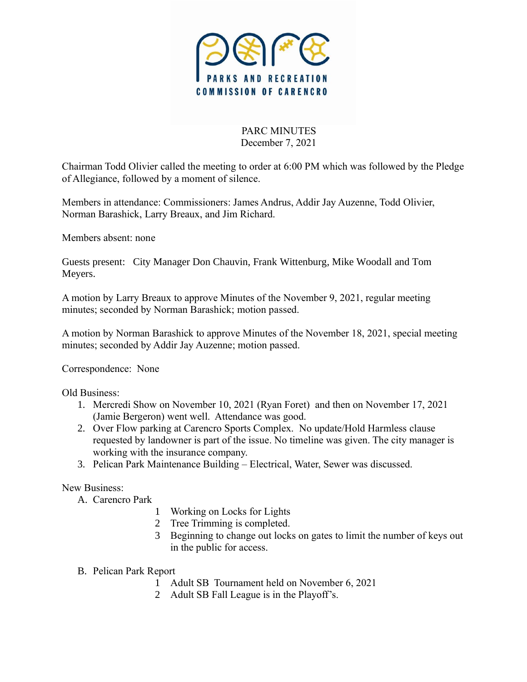

PARC MINUTES December 7, 2021

Chairman Todd Olivier called the meeting to order at 6:00 PM which was followed by the Pledge of Allegiance, followed by a moment of silence.

Members in attendance: Commissioners: James Andrus, Addir Jay Auzenne, Todd Olivier, Norman Barashick, Larry Breaux, and Jim Richard.

Members absent: none

Guests present: City Manager Don Chauvin, Frank Wittenburg, Mike Woodall and Tom Meyers.

A motion by Larry Breaux to approve Minutes of the November 9, 2021, regular meeting minutes; seconded by Norman Barashick; motion passed.

A motion by Norman Barashick to approve Minutes of the November 18, 2021, special meeting minutes; seconded by Addir Jay Auzenne; motion passed.

Correspondence: None

Old Business:

- 1. Mercredi Show on November 10, 2021 (Ryan Foret) and then on November 17, 2021 (Jamie Bergeron) went well. Attendance was good.
- 2. Over Flow parking at Carencro Sports Complex. No update/Hold Harmless clause requested by landowner is part of the issue. No timeline was given. The city manager is working with the insurance company.
- 3. Pelican Park Maintenance Building Electrical, Water, Sewer was discussed.

New Business:

- A. Carencro Park
	- 1 Working on Locks for Lights
	- 2 Tree Trimming is completed.
	- 3 Beginning to change out locks on gates to limit the number of keys out in the public for access.
- B. Pelican Park Report
	- 1 Adult SB Tournament held on November 6, 2021
	- 2 Adult SB Fall League is in the Playoff's.